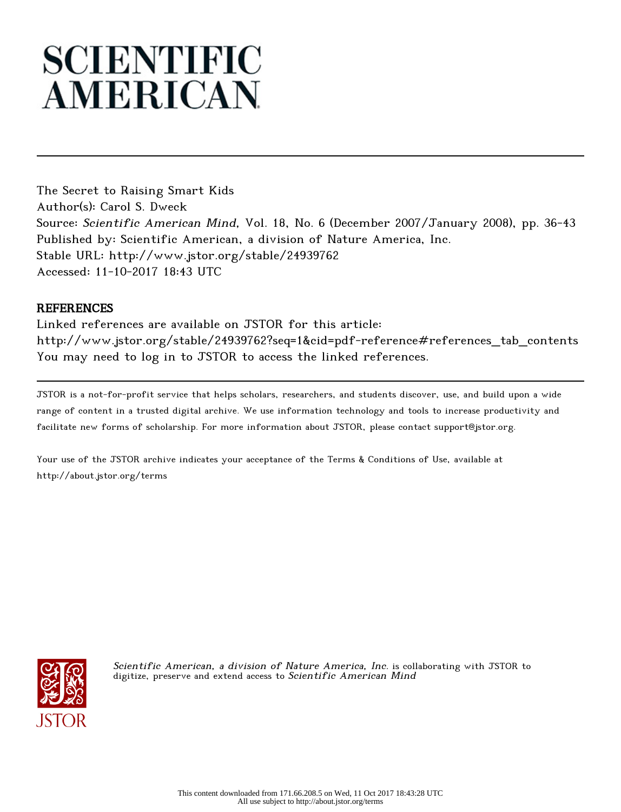## **SCIENTIFIC AMERICAN**

The Secret to Raising Smart Kids Author(s): Carol S. Dweck Source: Scientific American Mind, Vol. 18, No. 6 (December 2007/January 2008), pp. 36-43 Published by: Scientific American, a division of Nature America, Inc. Stable URL: http://www.jstor.org/stable/24939762 Accessed: 11-10-2017 18:43 UTC

## **REFERENCES**

Linked references are available on JSTOR for this article: http://www.jstor.org/stable/24939762?seq=1&cid=pdf-reference#references\_tab\_contents You may need to log in to JSTOR to access the linked references.

JSTOR is a not-for-profit service that helps scholars, researchers, and students discover, use, and build upon a wide range of content in a trusted digital archive. We use information technology and tools to increase productivity and facilitate new forms of scholarship. For more information about JSTOR, please contact support@jstor.org.

Your use of the JSTOR archive indicates your acceptance of the Terms & Conditions of Use, available at http://about.jstor.org/terms



Scientific American, a division of Nature America, Inc. is collaborating with JSTOR to digitize, preserve and extend access to Scientific American Mind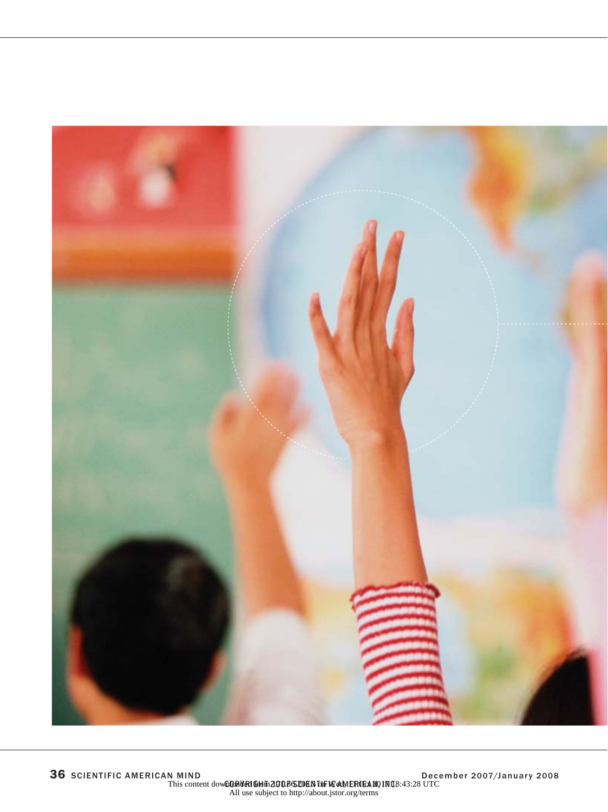

 $\bf{36}$  Scientific American Mind December 2007/January 2008 This content dow**@DRN&I &Hih200.8620EN HiF NC AM ER(EAN) 1M0**8:43:28 UTC<br>All use subject to http://about.jstor.org/terms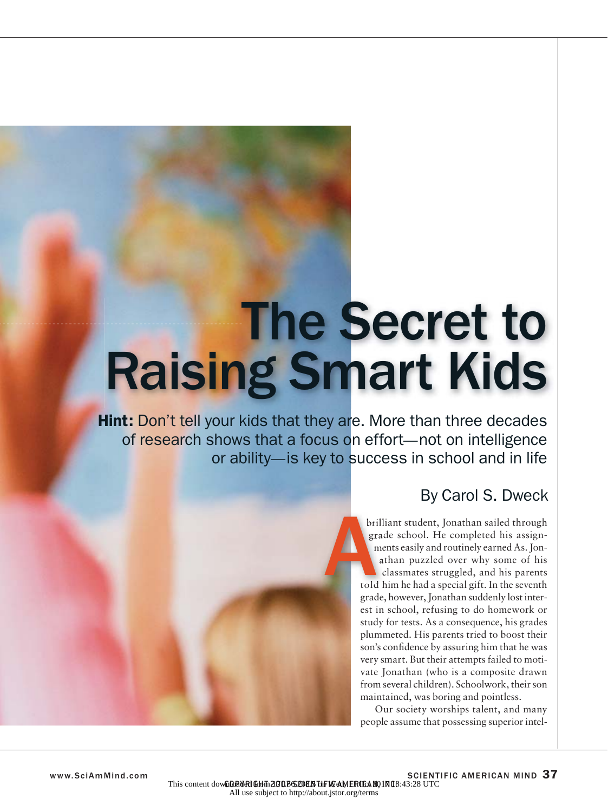# The Secret to Raising Smart Kids

Hint: Don't tell your kids that they are. More than three decades of research shows that a focus on effort—not on intelligence or ability—is key to success in school and in life

## By Carol S. Dweck

 brilliant student, Jonathan sailed through grade school. He completed his assignments easily and routinely earned As. Jonathan puzzled over why some of his classmates struggled, and his parents told him he had a special gift. In the seventh grade, however, Jonathan suddenly lost interest in school, refusing to do homework or study for tests. As a consequence, his grades plummeted. His parents tried to boost their son's confidence by assuring him that he was very smart. But their attempts failed to motivate Jonathan (who is a composite drawn from several children). Schoolwork, their son maintained, was boring and pointless. Alpha de la part de la part de la part de la part de la part de la part de la part de la part de la part de la part de la part de la part de la part de la part de la part de la part de la part de la part de la part de la p

> Our society worships talent, and many people assume that possessing superior intel-

[www.SciAmMind.com](http://www.sciammind.com/) SCIENTIFIC AMERICAN MIND 37 This content downloaded GHm200.66208.5 blF NGAMERICANO1N08:43:28 UTC All use subject to http://about.jstor.org/terms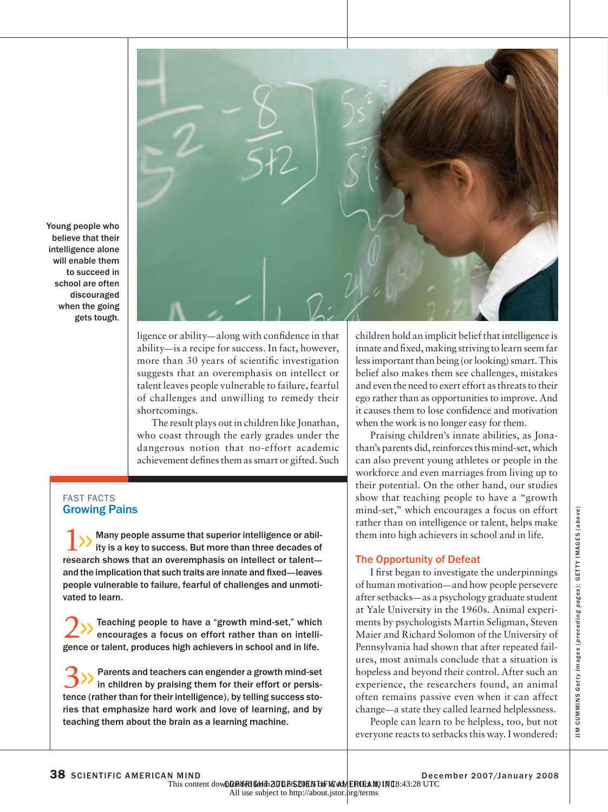

Young people who believe that their intelligence alone will enable them to succeed in school are often discouraged when the going gets tough.

> ligence or ability—along with confidence in that ability—is a recipe for success. In fact, however, more than 30 years of scientific investigation suggests that an overemphasis on intellect or talent leaves people vulnerable to failure, fearful of challenges and unwilling to remedy their shortcomings.

> The result plays out in children like Jonathan, who coast through the early grades under the dangerous notion that no-effort academic achievement defines them as smart or gifted. Such

#### FAST FACTS Growing Pains

Many people assume that superior intelligence or ability is a key to success. But more than three decades of research shows that an overemphasis on intellect or talent and the implication that such traits are innate and fixed-leaves people vulnerable to failure, fearful of challenges and unmotivated to learn.

Teaching people to have a "growth mind-set," which encourages a focus on effort rather than on intelligence or talent, produces high achievers in school and in life.

3>> Parents and teachers can engender a growth mind-set<br>in children by praising them for their effort or persistence (rather than for their intelligence), by telling success stories that emphasize hard work and love of learning, and by teaching them about the brain as a learning machine.

children hold an implicit belief that intelligence is innate and fixed, making striving to learn seem far less important than being (or looking) smart. This belief also makes them see challenges, mistakes and even the need to exert effort as threats to their ego rather than as opportunities to improve. And it causes them to lose confidence and motivation when the work is no longer easy for them.

Praising children's innate abilities, as Jonathan's parents did, reinforces this mind-set, which can also prevent young athletes or people in the workforce and even marriages from living up to their potential. On the other hand, our studies show that teaching people to have a "growth mind-set," which encourages a focus on effort rather than on intelligence or talent, helps make them into high achievers in school and in life.

## The Opportunity of Defeat

I first began to investigate the underpinnings of human motivation—and how people persevere after setbacks—as a psychology graduate student at Yale University in the 1960s. Animal experiments by psychologists Martin Seligman, Steven Maier and Richard Solomon of the University of Pennsylvania had shown that after repeated failures, most animals conclude that a situation is hopeless and beyond their control. After such an experience, the researchers found, an animal often remains passive even when it can affect change—a state they called learned helplessness.

People can learn to be helpless, too, but not everyone reacts to setbacks this way. I wondered: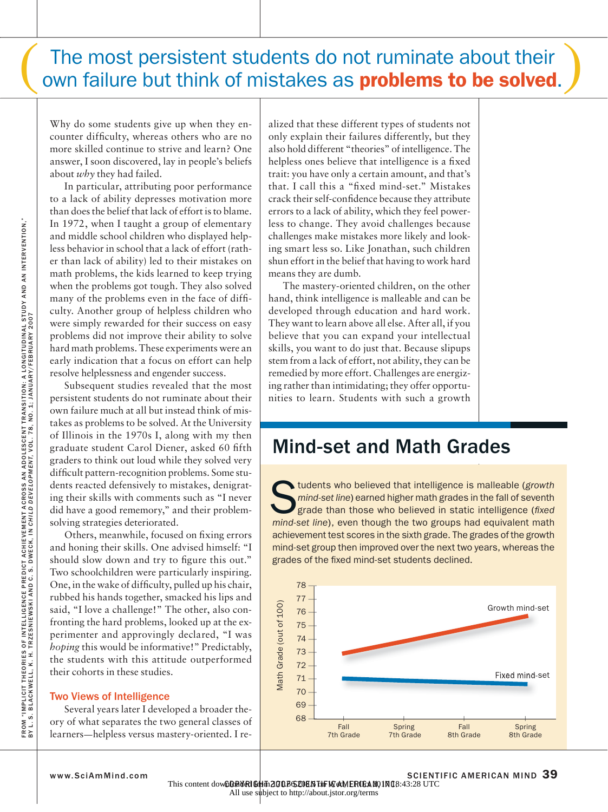## The most persistent students do not ruminate about their own failure but think of mistakes as **problems to be solved.**

Why do some students give up when they encounter difficulty, whereas others who are no more skilled continue to strive and learn? One answer, I soon discovered, lay in people's beliefs about *why* they had failed.

In particular, attributing poor performance to a lack of ability depresses motivation more than does the belief that lack of effort is to blame. In 1972, when I taught a group of elementary and middle school children who displayed helpless behavior in school that a lack of effort (rather than lack of ability) led to their mistakes on math problems, the kids learned to keep trying when the problems got tough. They also solved many of the problems even in the face of difficulty. Another group of helpless children who were simply rewarded for their success on easy problems did not improve their ability to solve hard math problems. These experiments were an early indication that a focus on effort can help resolve helplessness and engender success.

Subsequent studies revealed that the most persistent students do not ruminate about their own failure much at all but instead think of mistakes as problems to be solved. At the University of Illinois in the 1970s I, along with my then graduate student Carol Diener, asked 60 fifth graders to think out loud while they solved very difficult pattern-recognition problems. Some students reacted defensively to mistakes, denigrating their skills with comments such as "I never did have a good rememory," and their problemsolving strategies deteriorated.

Others, meanwhile, focused on fixing errors and honing their skills. One advised himself: "I should slow down and try to figure this out." Two schoolchildren were particularly inspiring. One, in the wake of difficulty, pulled up his chair, rubbed his hands together, smacked his lips and said, "I love a challenge!" The other, also confronting the hard problems, looked up at the experimenter and approvingly declared, "I was *hoping* this would be informative!" Predictably, the students with this attitude outperformed their cohorts in these studies.

### Two Views of Intelligence

Several years later I developed a broader theory of what separates the two general classes of learners—helpless versus mastery-oriented. I re-

alized that these different types of students not only explain their failures differently, but they also hold different "theories" of intelligence. The helpless ones believe that intelligence is a fixed trait: you have only a certain amount, and that's that. I call this a "fixed mind-set." Mistakes crack their self-confidence because they attribute errors to a lack of ability, which they feel powerless to change. They avoid challenges because challenges make mistakes more likely and looking smart less so. Like Jonathan, such children shun effort in the belief that having to work hard means they are dumb.

The mastery-oriented children, on the other hand, think intelligence is malleable and can be developed through education and hard work. They want to learn above all else. After all, if you believe that you can expand your intellectual skills, you want to do just that. Because slipups stem from a lack of effort, not ability, they can be remedied by more effort. Challenges are energizing rather than intimidating; they offer opportunities to learn. Students with such a growth

## Mind-set and Math Grades

students who believed that intelligence is malleable (*growth* mind-set line) earned higher math grades in the fall of seventh grade than those who believed in static intelligence (*fixed* mind set line). Over though the t *mind-set line*) earned higher math grades in the fall of seventh grade than those who believed in static intelligence (*fi xed mind-set line*), even though the two groups had equivalent math achievement test scores in the sixth grade. The grades of the growth mind-set group then improved over the next two years, whereas the grades of the fixed mind-set students declined.



This content downloaded them 200.66208.5 blf Wed, 170.68.43:28 UTC

All use subject to http://about.jstor.org/terms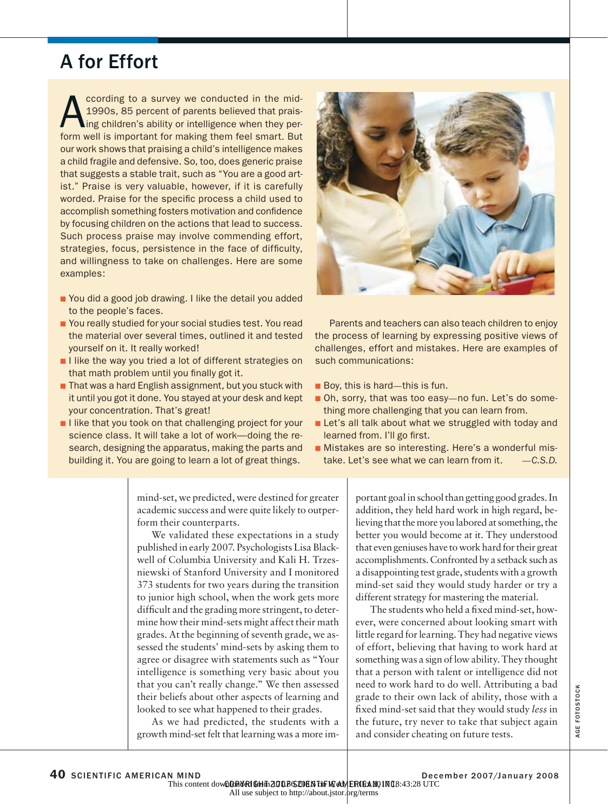## A for Effort

cording to a survey we conducted in the mid-<br>1990s, 85 percent of parents believed that praising children's ability or intelligence when they per-<br>form well is important for making them fool smort. But 1990s, 85 percent of parents believed that praisform well is important for making them feel smart. But our work shows that praising a child's intelligence makes a child fragile and defensive. So, too, does generic praise that suggests a stable trait, such as "You are a good artist." Praise is very valuable, however, if it is carefully worded. Praise for the specific process a child used to accomplish something fosters motivation and confidence by focusing children on the actions that lead to success. Such process praise may involve commending effort, strategies, focus, persistence in the face of difficulty, and willingness to take on challenges. Here are some examples:

- You did a good job drawing. I like the detail you added to the people's faces.
- You really studied for your social studies test. You read the material over several times, outlined it and tested yourself on it. It really worked!
- I like the way you tried a lot of different strategies on that math problem until you finally got it.
- That was a hard English assignment, but you stuck with it until you got it done. You stayed at your desk and kept your concentration. That's great!
- I like that you took on that challenging project for your science class. It will take a lot of work—doing the research, designing the apparatus, making the parts and building it. You are going to learn a lot of great things.



Parents and teachers can also teach children to enjoy the process of learning by expressing positive views of challenges, effort and mistakes. Here are examples of such communications:

- Boy, this is hard—this is fun.
- Oh, sorry, that was too easy-no fun. Let's do something more challenging that you can learn from.
- Let's all talk about what we struggled with today and learned from. I'll go first.
- Mistakes are so interesting. Here's a wonderful mistake. Let's see what we can learn from it. —*C.S.D.*

mind-set, we predicted, were destined for greater academic success and were quite likely to outperform their counterparts.

We validated these expectations in a study published in early 2007. Psychologists Lisa Blackwell of Columbia University and Kali H. Trzesniewski of Stanford University and I monitored 373 students for two years during the transition to junior high school, when the work gets more difficult and the grading more stringent, to determine how their mind-sets might affect their math grades. At the beginning of seventh grade, we assessed the students' mind-sets by asking them to agree or disagree with statements such as "Your intelligence is something very basic about you that you can't really change." We then assessed their beliefs about other aspects of learning and looked to see what happened to their grades.

As we had predicted, the students with a growth mind-set felt that learning was a more important goal in school than getting good grades. In addition, they held hard work in high regard, believing that the more you labored at something, the better you would become at it. They understood that even geniuses have to work hard for their great accomplishments. Confronted by a setback such as a disappointing test grade, students with a growth mind-set said they would study harder or try a different strategy for mastering the material.

The students who held a fixed mind-set, however, were concerned about looking smart with little regard for learning. They had negative views of effort, believing that having to work hard at something was a sign of low ability. They thought that a person with talent or intelligence did not need to work hard to do well. Attributing a bad grade to their own lack of ability, those with a fi xed mind-set said that they would study *less* in the future, try never to take that subject again and consider cheating on future tests.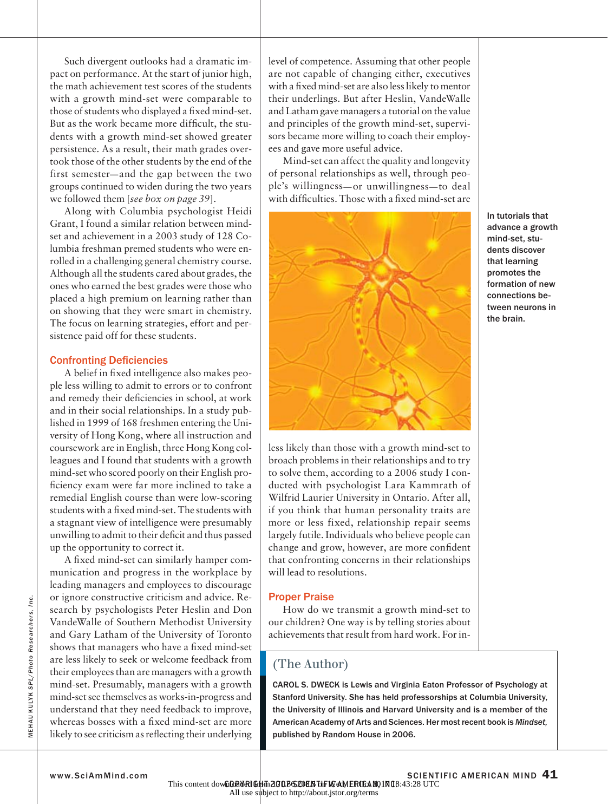Such divergent outlooks had a dramatic impact on performance. At the start of junior high, the math achievement test scores of the students with a growth mind-set were comparable to those of students who displayed a fixed mind-set. But as the work became more difficult, the students with a growth mind-set showed greater persistence. As a result, their math grades overtook those of the other students by the end of the first semester—and the gap between the two groups continued to widen during the two years we followed them [*see box on page 39*].

Along with Columbia psychologist Heidi Grant, I found a similar relation between mindset and achievement in a 2003 study of 128 Columbia freshman premed students who were enrolled in a challenging general chemistry course. Although all the students cared about grades, the ones who earned the best grades were those who placed a high premium on learning rather than on showing that they were smart in chemistry. The focus on learning strategies, effort and persistence paid off for these students.

#### **Confronting Deficiencies**

A belief in fixed intelligence also makes people less willing to admit to errors or to confront and remedy their deficiencies in school, at work and in their social relationships. In a study published in 1999 of 168 freshmen entering the University of Hong Kong, where all instruction and coursework are in English, three Hong Kong colleagues and I found that students with a growth mind-set who scored poorly on their English proficiency exam were far more inclined to take a remedial English course than were low-scoring students with a fixed mind-set. The students with a stagnant view of intelligence were presumably unwilling to admit to their deficit and thus passed up the opportunity to correct it.

A fixed mind-set can similarly hamper communication and progress in the workplace by leading managers and employees to discourage or ignore constructive criticism and advice. Research by psychologists Peter Heslin and Don VandeWalle of Southern Methodist University and Gary Latham of the University of Toronto shows that managers who have a fixed mind-set are less likely to seek or welcome feedback from their employees than are managers with a growth mind-set. Presumably, managers with a growth mind-set see themselves as works-in-progress and understand that they need feedback to improve, whereas bosses with a fixed mind-set are more likely to see criticism as reflecting their underlying level of competence. Assuming that other people are not capable of changing either, executives with a fixed mind-set are also less likely to mentor their underlings. But after Heslin, VandeWalle and Latham gave managers a tutorial on the value and principles of the growth mind-set, supervisors became more willing to coach their employees and gave more useful advice.

Mind-set can affect the quality and longevity of personal relationships as well, through people's willingness—or unwillingness—to deal with difficulties. Those with a fixed mind-set are



less likely than those with a growth mind-set to broach problems in their relationships and to try to solve them, according to a 2006 study I conducted with psychologist Lara Kammrath of Wilfrid Laurier University in Ontario. After all, if you think that human personality traits are more or less fixed, relationship repair seems largely futile. Individuals who believe people can change and grow, however, are more confident that confronting concerns in their relationships will lead to resolutions.

#### Proper Praise

How do we transmit a growth mind-set to our children? One way is by telling stories about achievements that result from hard work. For in-

## (The Author)

CAROL S. DWECK is Lewis and Virginia Eaton Professor of Psychology at Stanford University. She has held professorships at Columbia University, the University of Illinois and Harvard University and is a member of the American Academy of Arts and Sciences. Her most recent book is *Mindset,*  published by Random House in 2006.

advance a growth mind-set, students discover that learning promotes the formation of new connections between neurons in the brain.

In tutorials that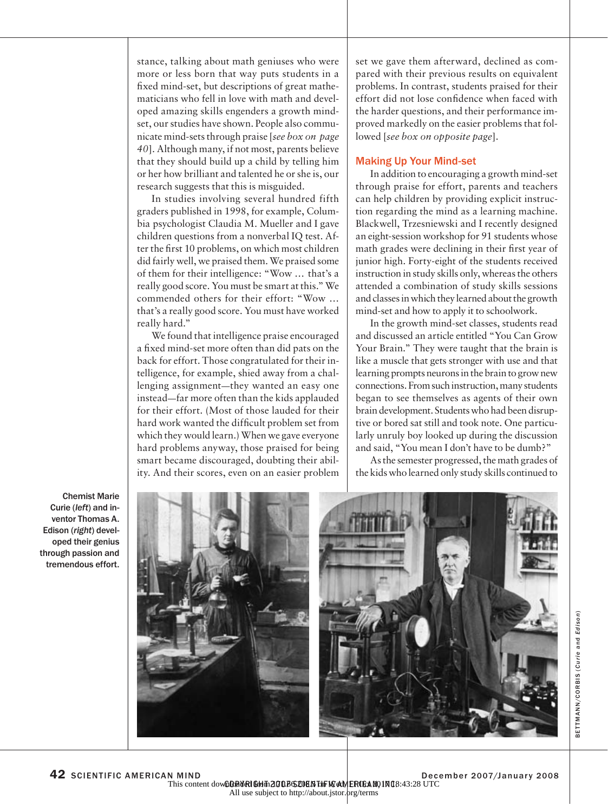stance, talking about math geniuses who were more or less born that way puts students in a fixed mind-set, but descriptions of great mathematicians who fell in love with math and developed amazing skills engenders a growth mindset, our studies have shown. People also communicate mind-sets through praise [*see box on page 40*]. Although many, if not most, parents believe that they should build up a child by telling him or her how brilliant and talented he or she is, our research suggests that this is misguided.

In studies involving several hundred fifth graders published in 1998, for example, Columbia psychologist Claudia M. Mueller and I gave children questions from a nonverbal IQ test. After the first 10 problems, on which most children did fairly well, we praised them. We praised some of them for their intelligence: "Wow … that's a really good score. You must be smart at this." We commended others for their effort: "Wow … that's a really good score. You must have worked really hard."

We found that intelligence praise encouraged a fixed mind-set more often than did pats on the back for effort. Those congratulated for their intelligence, for example, shied away from a challenging assignment—they wanted an easy one instead—far more often than the kids applauded for their effort. (Most of those lauded for their hard work wanted the difficult problem set from which they would learn.) When we gave everyone hard problems anyway, those praised for being smart became discouraged, doubting their ability. And their scores, even on an easier problem set we gave them afterward, declined as compared with their previous results on equivalent problems. In contrast, students praised for their effort did not lose confidence when faced with the harder questions, and their performance improved markedly on the easier problems that followed [*see box on opposite page*].

#### Making Up Your Mind-set

In addition to encouraging a growth mind-set through praise for effort, parents and teachers can help children by providing explicit instruction regarding the mind as a learning machine. Blackwell, Trzesniewski and I recently designed an eight-session workshop for 91 students whose math grades were declining in their first year of junior high. Forty-eight of the students received instruction in study skills only, whereas the others attended a combination of study skills sessions and classes in which they learned about the growth mind-set and how to apply it to schoolwork.

In the growth mind-set classes, students read and discussed an article entitled "You Can Grow Your Brain." They were taught that the brain is like a muscle that gets stronger with use and that learning prompts neurons in the brain to grow new connections. From such instruction, many students began to see themselves as agents of their own brain development. Students who had been disruptive or bored sat still and took note. One particularly unruly boy looked up during the discussion and said, "You mean I don't have to be dumb?"

As the semester progressed, the math grades of the kids who learned only study skills continued to

Chemist Marie Curie (*left*) and inventor Thomas A. Edison (*right*) developed their genius through passion and tremendous effort.